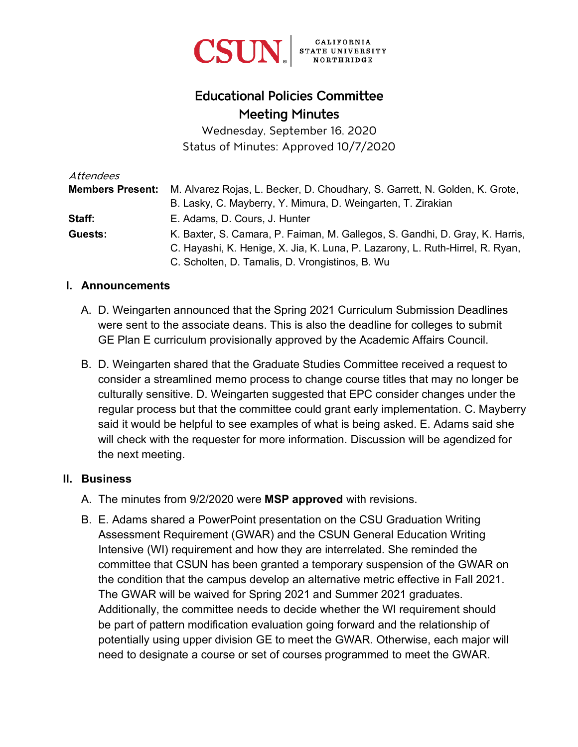

# Educational Policies Committee Meeting Minutes

Wednesday, September 16, 2020 Status of Minutes: Approved 10/7/2020

| Attendees               |                                                                               |
|-------------------------|-------------------------------------------------------------------------------|
| <b>Members Present:</b> | M. Alvarez Rojas, L. Becker, D. Choudhary, S. Garrett, N. Golden, K. Grote,   |
|                         | B. Lasky, C. Mayberry, Y. Mimura, D. Weingarten, T. Zirakian                  |
| Staff:                  | E. Adams, D. Cours, J. Hunter                                                 |
| Guests:                 | K. Baxter, S. Camara, P. Faiman, M. Gallegos, S. Gandhi, D. Gray, K. Harris,  |
|                         | C. Hayashi, K. Henige, X. Jia, K. Luna, P. Lazarony, L. Ruth-Hirrel, R. Ryan, |
|                         | C. Scholten, D. Tamalis, D. Vrongistinos, B. Wu                               |

#### **I. Announcements**

- A. D. Weingarten announced that the Spring 2021 Curriculum Submission Deadlines were sent to the associate deans. This is also the deadline for colleges to submit GE Plan E curriculum provisionally approved by the Academic Affairs Council.
- B. D. Weingarten shared that the Graduate Studies Committee received a request to consider a streamlined memo process to change course titles that may no longer be culturally sensitive. D. Weingarten suggested that EPC consider changes under the regular process but that the committee could grant early implementation. C. Mayberry said it would be helpful to see examples of what is being asked. E. Adams said she will check with the requester for more information. Discussion will be agendized for the next meeting.

#### **II. Business**

- A. The minutes from 9/2/2020 were **MSP approved** with revisions.
- B. E. Adams shared a PowerPoint presentation on the CSU Graduation Writing Assessment Requirement (GWAR) and the CSUN General Education Writing Intensive (WI) requirement and how they are interrelated. She reminded the committee that CSUN has been granted a temporary suspension of the GWAR on the condition that the campus develop an alternative metric effective in Fall 2021. The GWAR will be waived for Spring 2021 and Summer 2021 graduates. Additionally, the committee needs to decide whether the WI requirement should be part of pattern modification evaluation going forward and the relationship of potentially using upper division GE to meet the GWAR. Otherwise, each major will need to designate a course or set of courses programmed to meet the GWAR.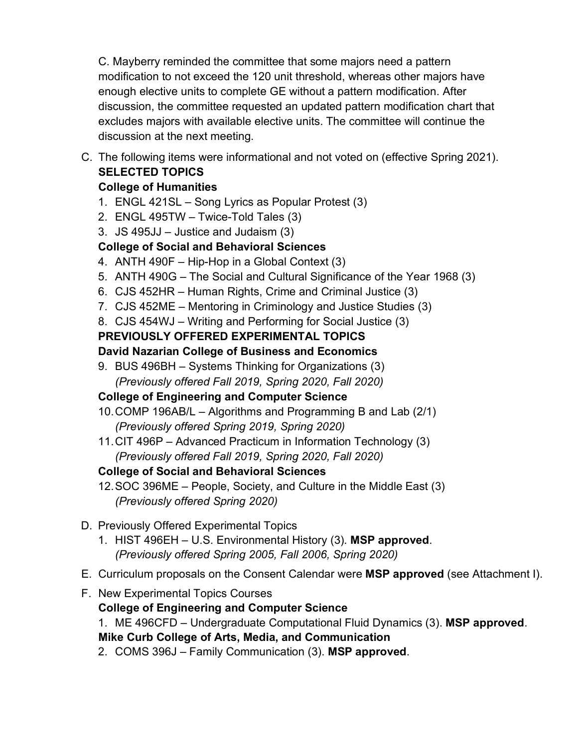C. Mayberry reminded the committee that some majors need a pattern modification to not exceed the 120 unit threshold, whereas other majors have enough elective units to complete GE without a pattern modification. After discussion, the committee requested an updated pattern modification chart that excludes majors with available elective units. The committee will continue the discussion at the next meeting.

C. The following items were informational and not voted on (effective Spring 2021). **SELECTED TOPICS**

#### **College of Humanities**

- 1. ENGL 421SL Song Lyrics as Popular Protest (3)
- 2. ENGL 495TW Twice-Told Tales (3)
- 3. JS 495JJ Justice and Judaism (3)

# **College of Social and Behavioral Sciences**

- 4. ANTH 490F Hip-Hop in a Global Context (3)
- 5. ANTH 490G The Social and Cultural Significance of the Year 1968 (3)
- 6. CJS 452HR Human Rights, Crime and Criminal Justice (3)
- 7. CJS 452ME Mentoring in Criminology and Justice Studies (3)
- 8. CJS 454WJ Writing and Performing for Social Justice (3)

# **PREVIOUSLY OFFERED EXPERIMENTAL TOPICS**

## **David Nazarian College of Business and Economics**

9. BUS 496BH – Systems Thinking for Organizations (3) *(Previously offered Fall 2019, Spring 2020, Fall 2020)*

# **College of Engineering and Computer Science**

- 10.COMP 196AB/L Algorithms and Programming B and Lab (2/1) *(Previously offered Spring 2019, Spring 2020)*
- 11.CIT 496P Advanced Practicum in Information Technology (3) *(Previously offered Fall 2019, Spring 2020, Fall 2020)*

# **College of Social and Behavioral Sciences**

12.SOC 396ME – People, Society, and Culture in the Middle East (3) *(Previously offered Spring 2020)*

# D. Previously Offered Experimental Topics

- 1. HIST 496EH U.S. Environmental History (3). **MSP approved**. *(Previously offered Spring 2005, Fall 2006, Spring 2020)*
- E. Curriculum proposals on the Consent Calendar were **MSP approved** (see Attachment I).
- F. New Experimental Topics Courses

#### **College of Engineering and Computer Science**

1. ME 496CFD – Undergraduate Computational Fluid Dynamics (3). **MSP approved**.

**Mike Curb College of Arts, Media, and Communication**

2. COMS 396J – Family Communication (3). **MSP approved**.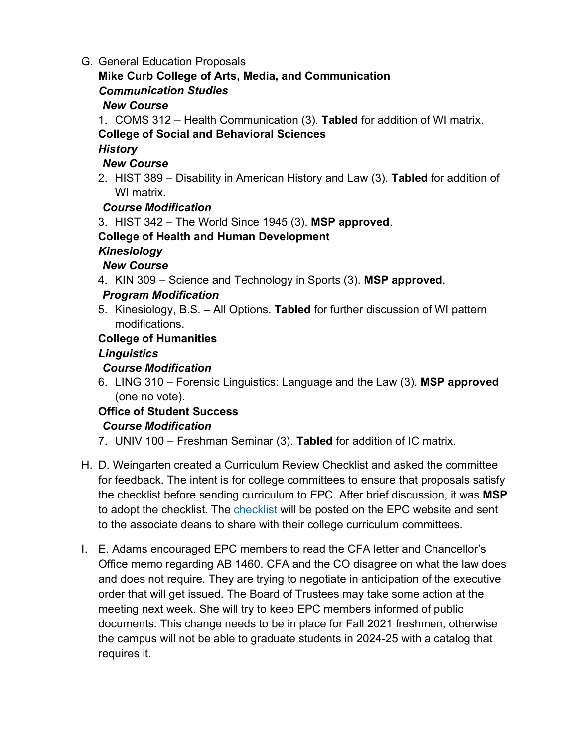G. General Education Proposals

#### **Mike Curb College of Arts, Media, and Communication** *Communication Studies*

## *New Course*

1. COMS 312 – Health Communication (3). **Tabled** for addition of WI matrix.

## **College of Social and Behavioral Sciences**

#### *History*

#### *New Course*

2. HIST 389 – Disability in American History and Law (3). **Tabled** for addition of WI matrix.

## *Course Modification*

3. HIST 342 – The World Since 1945 (3). **MSP approved**.

#### **College of Health and Human Development**

## *Kinesiology*

#### *New Course*

4. KIN 309 – Science and Technology in Sports (3). **MSP approved**.

## *Program Modification*

5. Kinesiology, B.S. – All Options. **Tabled** for further discussion of WI pattern modifications.

## **College of Humanities**

## *Linguistics*

# *Course Modification*

6. LING 310 – Forensic Linguistics: Language and the Law (3). **MSP approved** (one no vote).

# **Office of Student Success**

#### *Course Modification*

- 7. UNIV 100 Freshman Seminar (3). **Tabled** for addition of IC matrix.
- H. D. Weingarten created a Curriculum Review Checklist and asked the committee for feedback. The intent is for college committees to ensure that proposals satisfy the checklist before sending curriculum to EPC. After brief discussion, it was **MSP**  to adopt the checklist. The [checklist](https://www.csun.edu/sites/default/files/epc_checklist.pdf) will be posted on the EPC website and sent to the associate deans to share with their college curriculum committees.
- I. E. Adams encouraged EPC members to read the CFA letter and Chancellor's Office memo regarding AB 1460. CFA and the CO disagree on what the law does and does not require. They are trying to negotiate in anticipation of the executive order that will get issued. The Board of Trustees may take some action at the meeting next week. She will try to keep EPC members informed of public documents. This change needs to be in place for Fall 2021 freshmen, otherwise the campus will not be able to graduate students in 2024-25 with a catalog that requires it.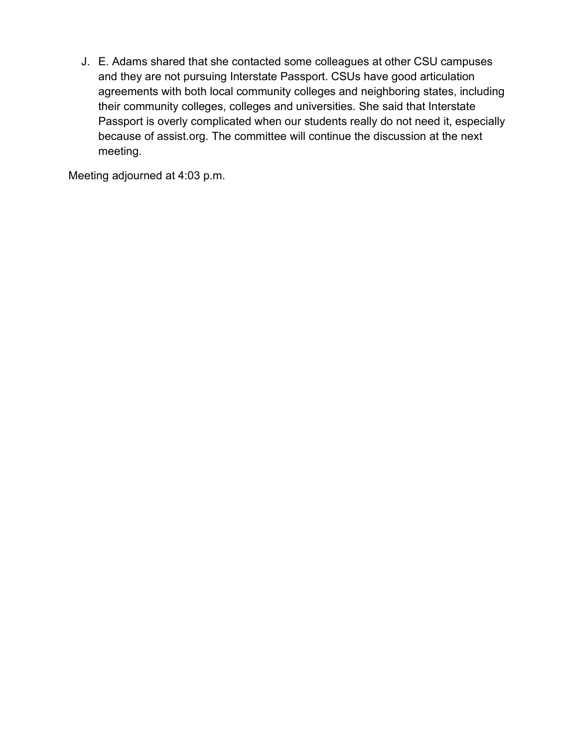J. E. Adams shared that she contacted some colleagues at other CSU campuses and they are not pursuing Interstate Passport. CSUs have good articulation agreements with both local community colleges and neighboring states, including their community colleges, colleges and universities. She said that Interstate Passport is overly complicated when our students really do not need it, especially because of assist.org. The committee will continue the discussion at the next meeting.

Meeting adjourned at 4:03 p.m.